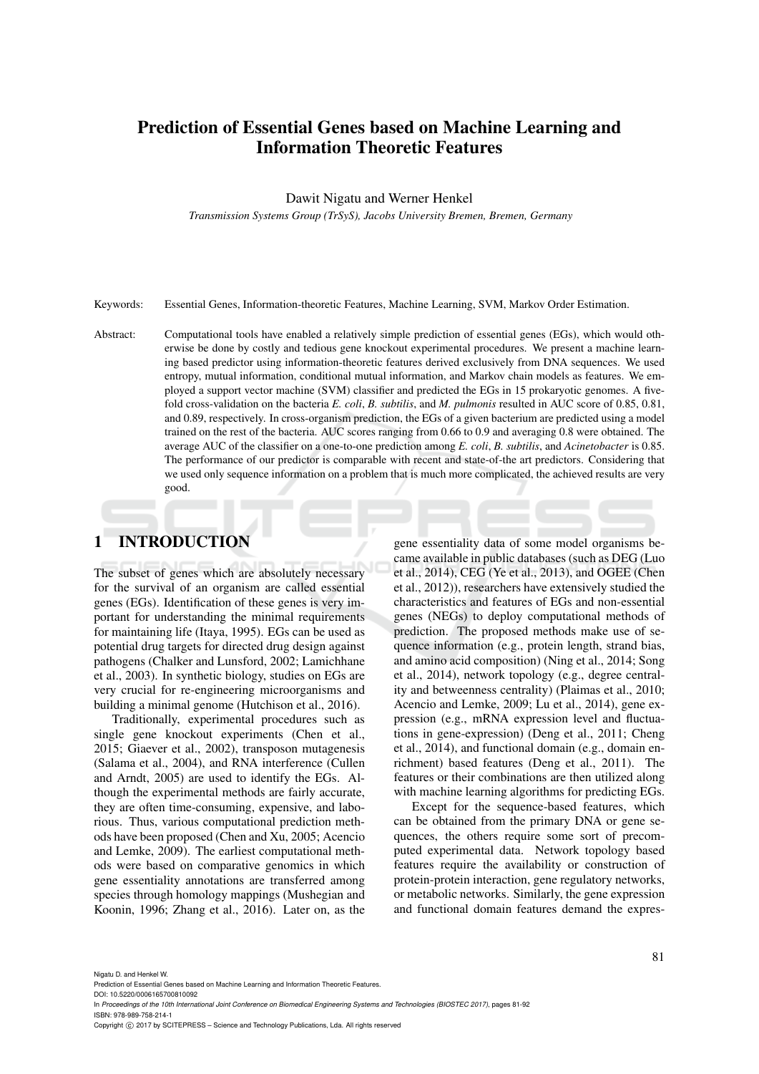# Prediction of Essential Genes based on Machine Learning and Information Theoretic Features

Dawit Nigatu and Werner Henkel

*Transmission Systems Group (TrSyS), Jacobs University Bremen, Bremen, Germany*

Keywords: Essential Genes, Information-theoretic Features, Machine Learning, SVM, Markov Order Estimation.

Abstract: Computational tools have enabled a relatively simple prediction of essential genes (EGs), which would otherwise be done by costly and tedious gene knockout experimental procedures. We present a machine learning based predictor using information-theoretic features derived exclusively from DNA sequences. We used entropy, mutual information, conditional mutual information, and Markov chain models as features. We employed a support vector machine (SVM) classifier and predicted the EGs in 15 prokaryotic genomes. A fivefold cross-validation on the bacteria *E. coli*, *B. subtilis*, and *M. pulmonis* resulted in AUC score of 0.85, 0.81, and 0.89, respectively. In cross-organism prediction, the EGs of a given bacterium are predicted using a model trained on the rest of the bacteria. AUC scores ranging from 0.66 to 0.9 and averaging 0.8 were obtained. The average AUC of the classifier on a one-to-one prediction among *E. coli*, *B. subtilis*, and *Acinetobacter* is 0.85. The performance of our predictor is comparable with recent and state-of-the art predictors. Considering that we used only sequence information on a problem that is much more complicated, the achieved results are very good.

# 1 INTRODUCTION

The subset of genes which are absolutely necessary for the survival of an organism are called essential genes (EGs). Identification of these genes is very important for understanding the minimal requirements for maintaining life (Itaya, 1995). EGs can be used as potential drug targets for directed drug design against pathogens (Chalker and Lunsford, 2002; Lamichhane et al., 2003). In synthetic biology, studies on EGs are very crucial for re-engineering microorganisms and building a minimal genome (Hutchison et al., 2016).

Traditionally, experimental procedures such as single gene knockout experiments (Chen et al., 2015; Giaever et al., 2002), transposon mutagenesis (Salama et al., 2004), and RNA interference (Cullen and Arndt, 2005) are used to identify the EGs. Although the experimental methods are fairly accurate, they are often time-consuming, expensive, and laborious. Thus, various computational prediction methods have been proposed (Chen and Xu, 2005; Acencio and Lemke, 2009). The earliest computational methods were based on comparative genomics in which gene essentiality annotations are transferred among species through homology mappings (Mushegian and Koonin, 1996; Zhang et al., 2016). Later on, as the

gene essentiality data of some model organisms became available in public databases (such as DEG (Luo et al., 2014), CEG (Ye et al., 2013), and OGEE (Chen et al., 2012)), researchers have extensively studied the characteristics and features of EGs and non-essential genes (NEGs) to deploy computational methods of prediction. The proposed methods make use of sequence information (e.g., protein length, strand bias, and amino acid composition) (Ning et al., 2014; Song et al., 2014), network topology (e.g., degree centrality and betweenness centrality) (Plaimas et al., 2010; Acencio and Lemke, 2009; Lu et al., 2014), gene expression (e.g., mRNA expression level and fluctuations in gene-expression) (Deng et al., 2011; Cheng et al., 2014), and functional domain (e.g., domain enrichment) based features (Deng et al., 2011). The features or their combinations are then utilized along with machine learning algorithms for predicting EGs.

Except for the sequence-based features, which can be obtained from the primary DNA or gene sequences, the others require some sort of precomputed experimental data. Network topology based features require the availability or construction of protein-protein interaction, gene regulatory networks, or metabolic networks. Similarly, the gene expression and functional domain features demand the expres-

Nigatu D. and Henkel W.

DOI: 10.5220/0006165700810092

Prediction of Essential Genes based on Machine Learning and Information Theoretic Features.

In *Proceedings of the 10th International Joint Conference on Biomedical Engineering Systems and Technologies (BIOSTEC 2017)*, pages 81-92 ISBN: 978-989-758-214-1

Copyright (C) 2017 by SCITEPRESS - Science and Technology Publications, Lda. All rights reserved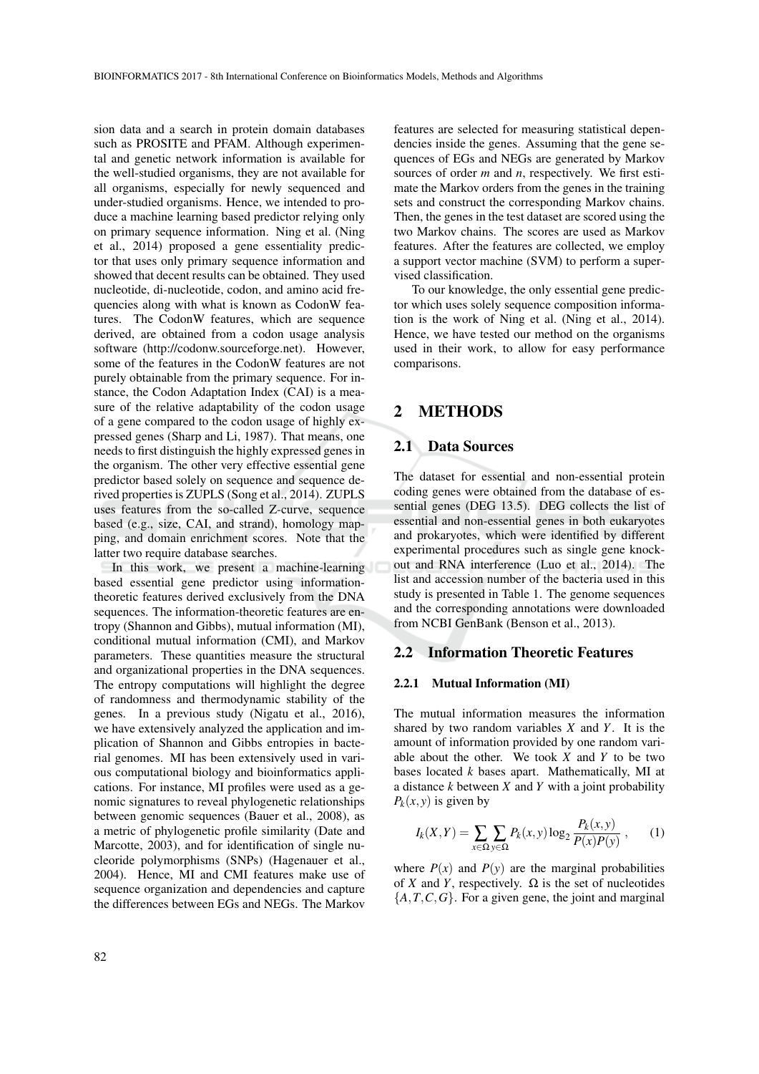sion data and a search in protein domain databases such as PROSITE and PFAM. Although experimental and genetic network information is available for the well-studied organisms, they are not available for all organisms, especially for newly sequenced and under-studied organisms. Hence, we intended to produce a machine learning based predictor relying only on primary sequence information. Ning et al. (Ning et al., 2014) proposed a gene essentiality predictor that uses only primary sequence information and showed that decent results can be obtained. They used nucleotide, di-nucleotide, codon, and amino acid frequencies along with what is known as CodonW features. The CodonW features, which are sequence derived, are obtained from a codon usage analysis software (http://codonw.sourceforge.net). However, some of the features in the CodonW features are not purely obtainable from the primary sequence. For instance, the Codon Adaptation Index (CAI) is a measure of the relative adaptability of the codon usage of a gene compared to the codon usage of highly expressed genes (Sharp and Li, 1987). That means, one needs to first distinguish the highly expressed genes in the organism. The other very effective essential gene predictor based solely on sequence and sequence derived properties is ZUPLS (Song et al., 2014). ZUPLS uses features from the so-called Z-curve, sequence based (e.g., size, CAI, and strand), homology mapping, and domain enrichment scores. Note that the latter two require database searches.

In this work, we present a machine-learning based essential gene predictor using informationtheoretic features derived exclusively from the DNA sequences. The information-theoretic features are entropy (Shannon and Gibbs), mutual information (MI), conditional mutual information (CMI), and Markov parameters. These quantities measure the structural and organizational properties in the DNA sequences. The entropy computations will highlight the degree of randomness and thermodynamic stability of the genes. In a previous study (Nigatu et al., 2016), we have extensively analyzed the application and implication of Shannon and Gibbs entropies in bacterial genomes. MI has been extensively used in various computational biology and bioinformatics applications. For instance, MI profiles were used as a genomic signatures to reveal phylogenetic relationships between genomic sequences (Bauer et al., 2008), as a metric of phylogenetic profile similarity (Date and Marcotte, 2003), and for identification of single nucleoride polymorphisms (SNPs) (Hagenauer et al., 2004). Hence, MI and CMI features make use of sequence organization and dependencies and capture the differences between EGs and NEGs. The Markov

features are selected for measuring statistical dependencies inside the genes. Assuming that the gene sequences of EGs and NEGs are generated by Markov sources of order *m* and *n*, respectively. We first estimate the Markov orders from the genes in the training sets and construct the corresponding Markov chains. Then, the genes in the test dataset are scored using the two Markov chains. The scores are used as Markov features. After the features are collected, we employ a support vector machine (SVM) to perform a supervised classification.

To our knowledge, the only essential gene predictor which uses solely sequence composition information is the work of Ning et al. (Ning et al., 2014). Hence, we have tested our method on the organisms used in their work, to allow for easy performance comparisons.

### 2 METHODS

### 2.1 Data Sources

The dataset for essential and non-essential protein coding genes were obtained from the database of essential genes (DEG 13.5). DEG collects the list of essential and non-essential genes in both eukaryotes and prokaryotes, which were identified by different experimental procedures such as single gene knockout and RNA interference (Luo et al., 2014). The list and accession number of the bacteria used in this study is presented in Table 1. The genome sequences and the corresponding annotations were downloaded from NCBI GenBank (Benson et al., 2013).

#### 2.2 Information Theoretic Features

#### 2.2.1 Mutual Information (MI)

The mutual information measures the information shared by two random variables *X* and *Y*. It is the amount of information provided by one random variable about the other. We took *X* and *Y* to be two bases located *k* bases apart. Mathematically, MI at a distance *k* between *X* and *Y* with a joint probability  $P_k(x, y)$  is given by

$$
I_k(X,Y) = \sum_{x \in \Omega} \sum_{y \in \Omega} P_k(x,y) \log_2 \frac{P_k(x,y)}{P(x)P(y)},
$$
 (1)

where  $P(x)$  and  $P(y)$  are the marginal probabilities of *X* and *Y*, respectively.  $\Omega$  is the set of nucleotides  ${A, T, C, G}$ . For a given gene, the joint and marginal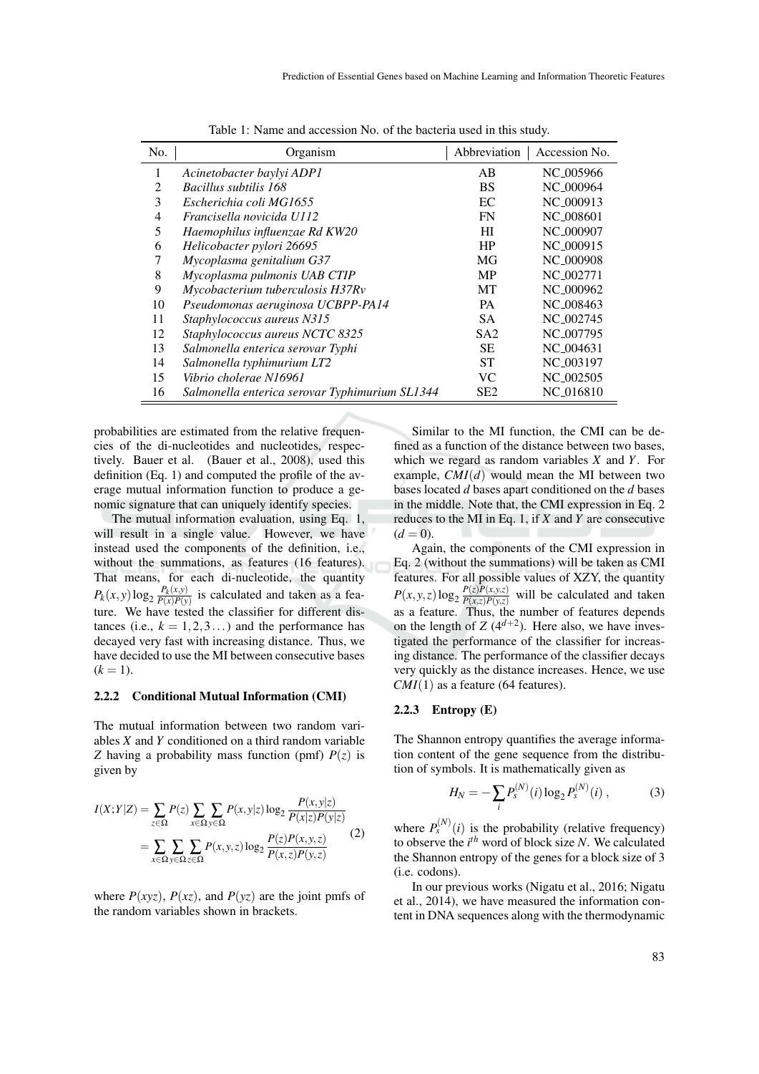| No.            | Organism                                       | Abbreviation    | Accession No.         |  |
|----------------|------------------------------------------------|-----------------|-----------------------|--|
| 1              | Acinetobacter baylyi ADP1                      | AB              | NC <sub>-005966</sub> |  |
| $\overline{2}$ | Bacillus subtilis 168                          | <b>BS</b>       | NC <sub>-000964</sub> |  |
| 3              | Escherichia coli MG1655                        | EC              | NC <sub>-000913</sub> |  |
| 4              | Francisella novicida U112                      | FN              | NC <sub>-008601</sub> |  |
| 5              | Haemophilus influenzae Rd KW20                 | HІ              | NC <sub>-000907</sub> |  |
| 6              | Helicobacter pylori 26695                      | <b>HP</b>       | NC <sub>-000915</sub> |  |
| 7              | Mycoplasma genitalium G37                      | MG              | NC <sub>-000908</sub> |  |
| 8              | Mycoplasma pulmonis UAB CTIP                   | <b>MP</b>       | NC <sub>-002771</sub> |  |
| 9              | Mycobacterium tuberculosis H37Rv               | MT              | NC <sub>-000962</sub> |  |
| 10             | Pseudomonas aeruginosa UCBPP-PA14              | <b>PA</b>       | NC <sub>-008463</sub> |  |
| 11             | Staphylococcus aureus N315                     | <b>SA</b>       | NC <sub>-002745</sub> |  |
| 12             | Staphylococcus aureus NCTC 8325                | SA2             | NC <sub>-007795</sub> |  |
| 13             | Salmonella enterica serovar Typhi              | SЕ              | NC 004631             |  |
| 14             | Salmonella typhimurium LT2                     | <b>ST</b>       | NC <sub>-003197</sub> |  |
| 15             | Vibrio cholerae N16961                         | VC.             | NC <sub>-002505</sub> |  |
| 16             | Salmonella enterica serovar Typhimurium SL1344 | SE <sub>2</sub> | NC <sub>-016810</sub> |  |

Table 1: Name and accession No. of the bacteria used in this study.

probabilities are estimated from the relative frequencies of the di-nucleotides and nucleotides, respectively. Bauer et al. (Bauer et al., 2008), used this definition (Eq. 1) and computed the profile of the average mutual information function to produce a genomic signature that can uniquely identify species.

The mutual information evaluation, using Eq. 1, will result in a single value. However, we have instead used the components of the definition, i.e., without the summations, as features (16 features). That means, for each di-nucleotide, the quantity  $P_k(x, y)$ log<sub>2</sub>  $\frac{P_k(x, y)}{P(x)P(y)}$  $\frac{P_k(x,y)}{P(x)P(y)}$  is calculated and taken as a feature. We have tested the classifier for different distances (i.e.,  $k = 1, 2, 3...$ ) and the performance has decayed very fast with increasing distance. Thus, we have decided to use the MI between consecutive bases  $(k = 1)$ .

#### 2.2.2 Conditional Mutual Information (CMI)

The mutual information between two random variables *X* and *Y* conditioned on a third random variable *Z* having a probability mass function (pmf)  $P(z)$  is given by

$$
I(X;Y|Z) = \sum_{z \in \Omega} P(z) \sum_{x \in \Omega} \sum_{y \in \Omega} P(x,y|z) \log_2 \frac{P(x,y|z)}{P(x|z)P(y|z)}
$$
  
= 
$$
\sum_{x \in \Omega} \sum_{y \in \Omega} \sum_{z \in \Omega} P(x,y,z) \log_2 \frac{P(z)P(x,y,z)}{P(x,z)P(y,z)}
$$
(2)

where  $P(xyz)$ ,  $P(xz)$ , and  $P(yz)$  are the joint pmfs of the random variables shown in brackets.

Similar to the MI function, the CMI can be defined as a function of the distance between two bases, which we regard as random variables *X* and *Y*. For example, *CMI*(*d*) would mean the MI between two bases located *d* bases apart conditioned on the *d* bases in the middle. Note that, the CMI expression in Eq. 2 reduces to the MI in Eq. 1, if *X* and *Y* are consecutive  $(d = 0)$ .

Again, the components of the CMI expression in Eq. 2 (without the summations) will be taken as CMI features. For all possible values of XZY, the quantity  $P(x, y, z)$ log<sub>2</sub>  $\frac{P(z)P(x, y, z)}{P(x, z)P(y, z)}$  $\frac{P(z)P(x,y,z)}{P(x,z)P(y,z)}$  will be calculated and taken as a feature. Thus, the number of features depends on the length of  $Z(4^{d+2})$ . Here also, we have investigated the performance of the classifier for increasing distance. The performance of the classifier decays very quickly as the distance increases. Hence, we use *CMI*(1) as a feature (64 features).

#### 2.2.3 Entropy (E)

The Shannon entropy quantifies the average information content of the gene sequence from the distribution of symbols. It is mathematically given as

$$
H_N = -\sum_i P_s^{(N)}(i) \log_2 P_s^{(N)}(i) ,\qquad (3)
$$

where  $P_s^{(N)}(i)$  is the probability (relative frequency) to observe the *i th* word of block size *N*. We calculated the Shannon entropy of the genes for a block size of 3 (i.e. codons).

In our previous works (Nigatu et al., 2016; Nigatu et al., 2014), we have measured the information content in DNA sequences along with the thermodynamic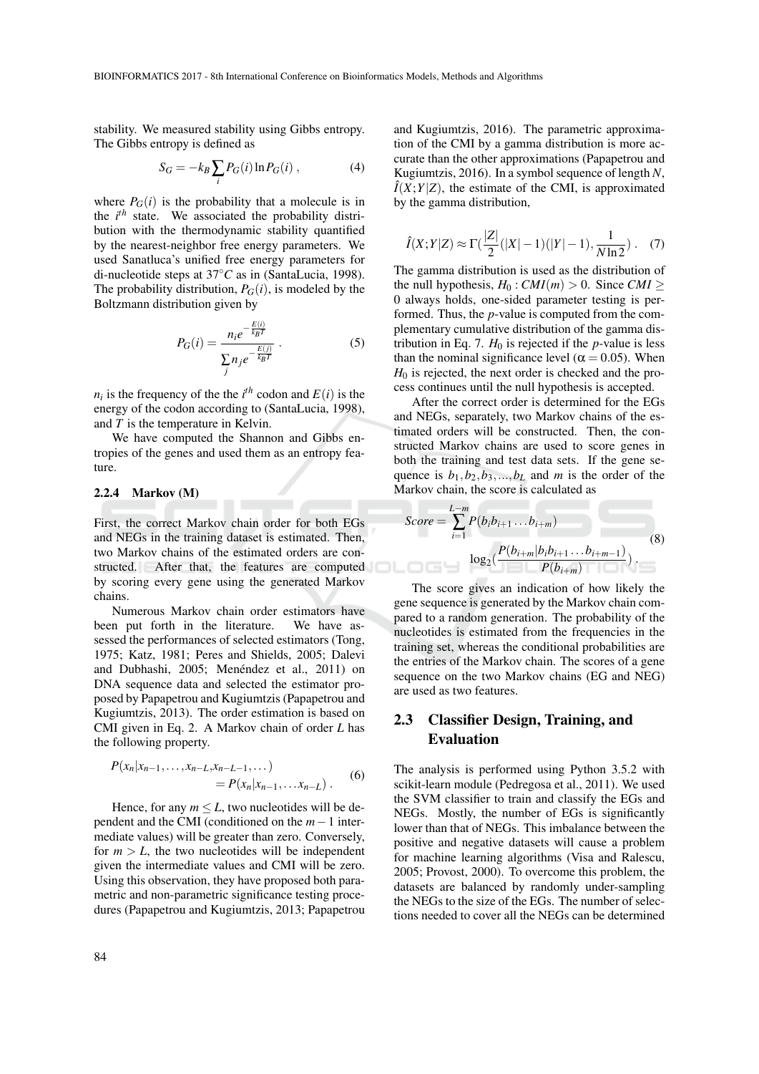stability. We measured stability using Gibbs entropy. The Gibbs entropy is defined as

$$
S_G = -k_B \sum_i P_G(i) \ln P_G(i) , \qquad (4)
$$

where  $P_G(i)$  is the probability that a molecule is in the *i th* state. We associated the probability distribution with the thermodynamic stability quantified by the nearest-neighbor free energy parameters. We used Sanatluca's unified free energy parameters for di-nucleotide steps at 37◦*C* as in (SantaLucia, 1998). The probability distribution,  $P_G(i)$ , is modeled by the Boltzmann distribution given by

$$
P_G(i) = \frac{n_i e^{-\frac{E(i)}{k_B T}}}{\sum_j n_j e^{-\frac{E(j)}{k_B T}}}.
$$
 (5)

 $n_i$  is the frequency of the the *i*<sup>th</sup> codon and  $E(i)$  is the energy of the codon according to (SantaLucia, 1998), and *T* is the temperature in Kelvin.

We have computed the Shannon and Gibbs entropies of the genes and used them as an entropy feature.

#### 2.2.4 Markov (M)

First, the correct Markov chain order for both EGs and NEGs in the training dataset is estimated. Then, two Markov chains of the estimated orders are constructed. After that, the features are computed by scoring every gene using the generated Markov chains.

Numerous Markov chain order estimators have been put forth in the literature. We have assessed the performances of selected estimators (Tong, 1975; Katz, 1981; Peres and Shields, 2005; Dalevi and Dubhashi, 2005; Menéndez et al., 2011) on DNA sequence data and selected the estimator proposed by Papapetrou and Kugiumtzis (Papapetrou and Kugiumtzis, 2013). The order estimation is based on CMI given in Eq. 2. A Markov chain of order *L* has the following property.

$$
P(x_n|x_{n-1},...,x_{n-L},x_{n-L-1},...)
$$
  
=  $P(x_n|x_{n-1},...x_{n-L})$ . (6)

Hence, for any  $m \leq L$ , two nucleotides will be dependent and the CMI (conditioned on the *m*−1 intermediate values) will be greater than zero. Conversely, for  $m > L$ , the two nucleotides will be independent given the intermediate values and CMI will be zero. Using this observation, they have proposed both parametric and non-parametric significance testing procedures (Papapetrou and Kugiumtzis, 2013; Papapetrou

and Kugiumtzis, 2016). The parametric approximation of the CMI by a gamma distribution is more accurate than the other approximations (Papapetrou and Kugiumtzis, 2016). In a symbol sequence of length *N*,  $\hat{I}(X;Y|Z)$ , the estimate of the CMI, is approximated by the gamma distribution,

$$
\hat{I}(X;Y|Z) \approx \Gamma(\frac{|Z|}{2}(|X|-1)(|Y|-1), \frac{1}{N\ln 2}).
$$
 (7)

The gamma distribution is used as the distribution of the null hypothesis,  $H_0$ : *CMI*(*m*) > 0. Since *CMI* ≥ 0 always holds, one-sided parameter testing is performed. Thus, the *p*-value is computed from the complementary cumulative distribution of the gamma distribution in Eq. 7.  $H_0$  is rejected if the *p*-value is less than the nominal significance level ( $\alpha$  = 0.05). When  $H_0$  is rejected, the next order is checked and the process continues until the null hypothesis is accepted.

After the correct order is determined for the EGs and NEGs, separately, two Markov chains of the estimated orders will be constructed. Then, the constructed Markov chains are used to score genes in both the training and test data sets. If the gene sequence is  $b_1$ ,  $b_2$ ,  $b_3$ , ...,  $b_L$  and *m* is the order of the Markov chain, the score is calculated as

$$
Score = \sum_{i=1}^{L-m} P(b_i b_{i+1} \dots b_{i+m})
$$
\n
$$
\log_2(\frac{P(b_{i+m}|b_i b_{i+1} \dots b_{i+m-1})}{P(b_{i+m})})
$$
\n(8)

The score gives an indication of how likely the gene sequence is generated by the Markov chain compared to a random generation. The probability of the nucleotides is estimated from the frequencies in the training set, whereas the conditional probabilities are the entries of the Markov chain. The scores of a gene sequence on the two Markov chains (EG and NEG) are used as two features.

# 2.3 Classifier Design, Training, and Evaluation

The analysis is performed using Python 3.5.2 with scikit-learn module (Pedregosa et al., 2011). We used the SVM classifier to train and classify the EGs and NEGs. Mostly, the number of EGs is significantly lower than that of NEGs. This imbalance between the positive and negative datasets will cause a problem for machine learning algorithms (Visa and Ralescu, 2005; Provost, 2000). To overcome this problem, the datasets are balanced by randomly under-sampling the NEGs to the size of the EGs. The number of selections needed to cover all the NEGs can be determined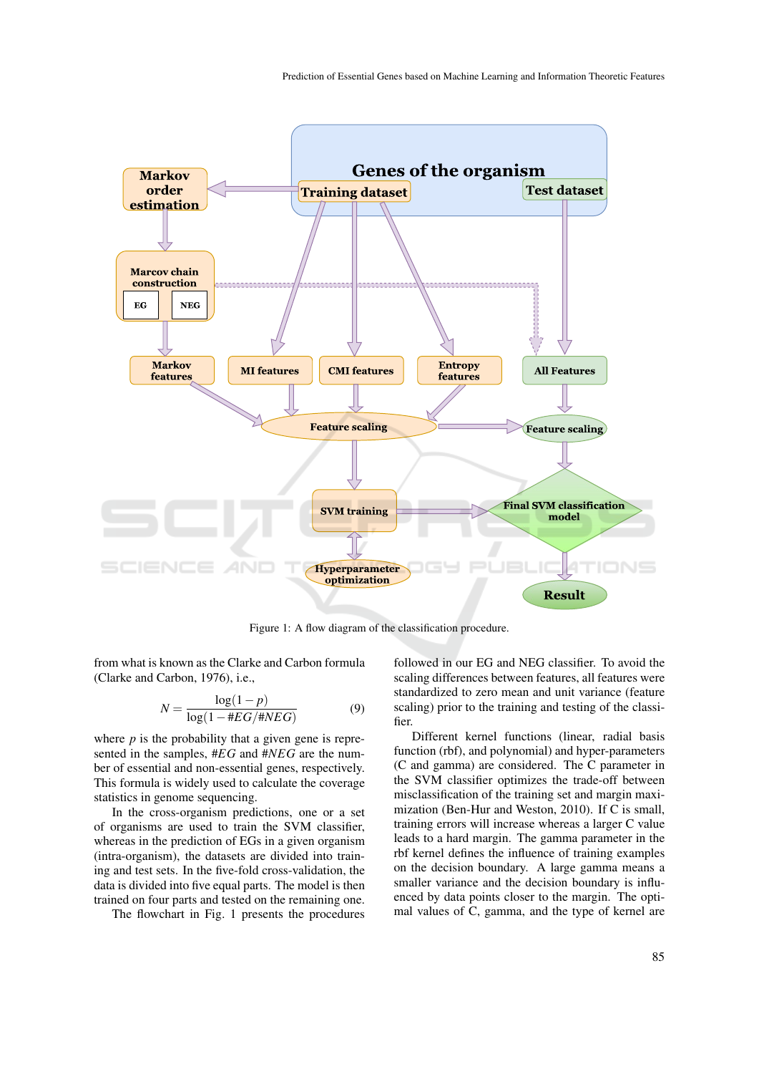

Figure 1: A flow diagram of the classification procedure.

from what is known as the Clarke and Carbon formula (Clarke and Carbon, 1976), i.e.,

$$
N = \frac{\log(1 - p)}{\log(1 - \#EG/\#NEG)}
$$
(9)

where  $p$  is the probability that a given gene is represented in the samples, #*EG* and #*NEG* are the number of essential and non-essential genes, respectively. This formula is widely used to calculate the coverage statistics in genome sequencing.

In the cross-organism predictions, one or a set of organisms are used to train the SVM classifier, whereas in the prediction of EGs in a given organism (intra-organism), the datasets are divided into training and test sets. In the five-fold cross-validation, the data is divided into five equal parts. The model is then trained on four parts and tested on the remaining one.

The flowchart in Fig. 1 presents the procedures

followed in our EG and NEG classifier. To avoid the scaling differences between features, all features were standardized to zero mean and unit variance (feature scaling) prior to the training and testing of the classifier.

Different kernel functions (linear, radial basis function (rbf), and polynomial) and hyper-parameters (C and gamma) are considered. The C parameter in the SVM classifier optimizes the trade-off between misclassification of the training set and margin maximization (Ben-Hur and Weston, 2010). If C is small, training errors will increase whereas a larger C value leads to a hard margin. The gamma parameter in the rbf kernel defines the influence of training examples on the decision boundary. A large gamma means a smaller variance and the decision boundary is influenced by data points closer to the margin. The optimal values of C, gamma, and the type of kernel are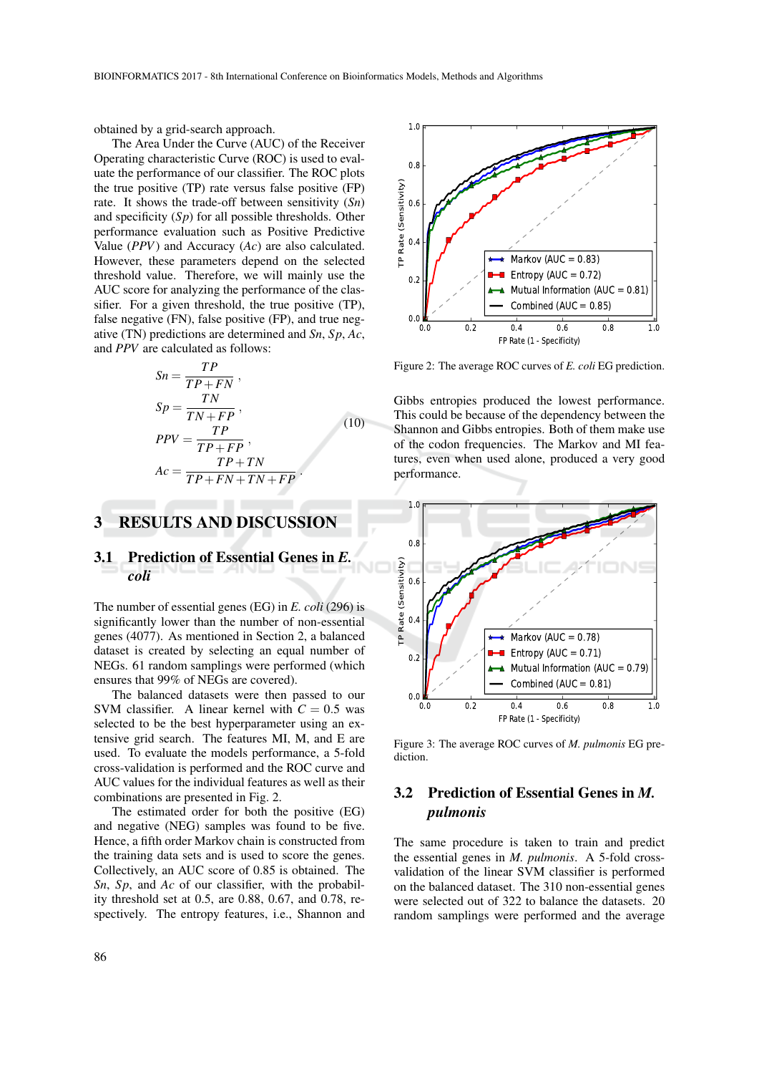obtained by a grid-search approach.

The Area Under the Curve (AUC) of the Receiver Operating characteristic Curve (ROC) is used to evaluate the performance of our classifier. The ROC plots the true positive (TP) rate versus false positive (FP) rate. It shows the trade-off between sensitivity (*Sn*) and specificity (*Sp*) for all possible thresholds. Other performance evaluation such as Positive Predictive Value (*PPV*) and Accuracy (*Ac*) are also calculated. However, these parameters depend on the selected threshold value. Therefore, we will mainly use the AUC score for analyzing the performance of the classifier. For a given threshold, the true positive (TP), false negative (FN), false positive (FP), and true negative (TN) predictions are determined and *Sn*, *Sp*, *Ac*, and *PPV* are calculated as follows:

$$
Sn = \frac{TP}{TP + FN},
$$
  
\n
$$
Sp = \frac{TN}{TN + FP},
$$
  
\n
$$
PPV = \frac{TP}{TP + FP},
$$
  
\n
$$
Ac = \frac{TP + TN}{TP + FN + TN + FP}.
$$
  
\n(10)

## 3 RESULTS AND DISCUSSION

### 3.1 Prediction of Essential Genes in *E. coli*

The number of essential genes (EG) in *E. coli* (296) is significantly lower than the number of non-essential genes (4077). As mentioned in Section 2, a balanced dataset is created by selecting an equal number of NEGs. 61 random samplings were performed (which ensures that 99% of NEGs are covered).

The balanced datasets were then passed to our SVM classifier. A linear kernel with  $C = 0.5$  was selected to be the best hyperparameter using an extensive grid search. The features MI, M, and E are used. To evaluate the models performance, a 5-fold cross-validation is performed and the ROC curve and AUC values for the individual features as well as their combinations are presented in Fig. 2.

The estimated order for both the positive (EG) and negative (NEG) samples was found to be five. Hence, a fifth order Markov chain is constructed from the training data sets and is used to score the genes. Collectively, an AUC score of 0.85 is obtained. The *Sn*, *Sp*, and *Ac* of our classifier, with the probability threshold set at 0.5, are 0.88, 0.67, and 0.78, respectively. The entropy features, i.e., Shannon and



Figure 2: The average ROC curves of *E. coli* EG prediction.

Gibbs entropies produced the lowest performance. This could be because of the dependency between the Shannon and Gibbs entropies. Both of them make use of the codon frequencies. The Markov and MI features, even when used alone, produced a very good performance.



Figure 3: The average ROC curves of *M. pulmonis* EG prediction.

# 3.2 Prediction of Essential Genes in *M. pulmonis*

The same procedure is taken to train and predict the essential genes in *M. pulmonis*. A 5-fold crossvalidation of the linear SVM classifier is performed on the balanced dataset. The 310 non-essential genes were selected out of 322 to balance the datasets. 20 random samplings were performed and the average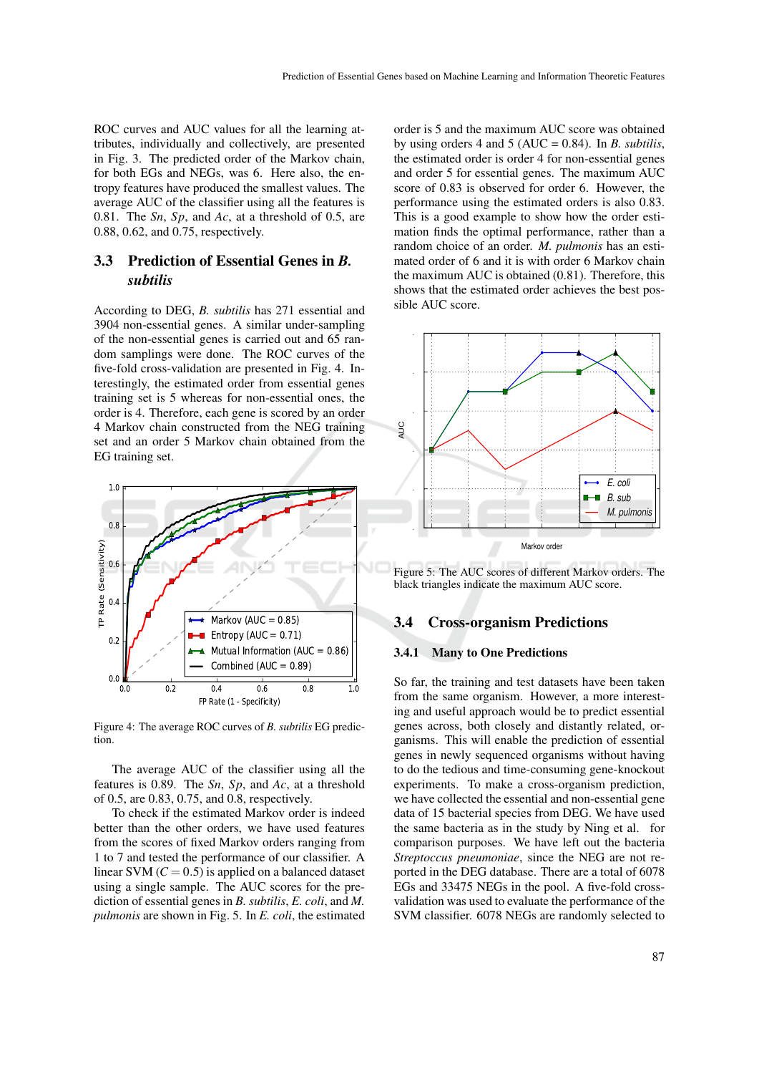ROC curves and AUC values for all the learning attributes, individually and collectively, are presented in Fig. 3. The predicted order of the Markov chain, for both EGs and NEGs, was 6. Here also, the entropy features have produced the smallest values. The average AUC of the classifier using all the features is 0.81. The *Sn*, *Sp*, and *Ac*, at a threshold of 0.5, are 0.88, 0.62, and 0.75, respectively.

# 3.3 Prediction of Essential Genes in *B. subtilis*

According to DEG, *B. subtilis* has 271 essential and 3904 non-essential genes. A similar under-sampling of the non-essential genes is carried out and 65 random samplings were done. The ROC curves of the five-fold cross-validation are presented in Fig. 4. Interestingly, the estimated order from essential genes training set is 5 whereas for non-essential ones, the order is 4. Therefore, each gene is scored by an order 4 Markov chain constructed from the NEG training set and an order 5 Markov chain obtained from the EG training set.



Figure 4: The average ROC curves of *B. subtilis* EG prediction.

The average AUC of the classifier using all the features is 0.89. The *Sn*, *Sp*, and *Ac*, at a threshold of 0.5, are 0.83, 0.75, and 0.8, respectively.

To check if the estimated Markov order is indeed better than the other orders, we have used features from the scores of fixed Markov orders ranging from 1 to 7 and tested the performance of our classifier. A linear SVM  $(C = 0.5)$  is applied on a balanced dataset using a single sample. The AUC scores for the prediction of essential genes in *B. subtilis*, *E. coli*, and *M. pulmonis* are shown in Fig. 5. In *E. coli*, the estimated

order is 5 and the maximum AUC score was obtained by using orders 4 and 5 (AUC = 0.84). In *B. subtilis*, the estimated order is order 4 for non-essential genes and order 5 for essential genes. The maximum AUC score of 0.83 is observed for order 6. However, the performance using the estimated orders is also 0.83. This is a good example to show how the order estimation finds the optimal performance, rather than a random choice of an order. *M. pulmonis* has an estimated order of 6 and it is with order 6 Markov chain the maximum AUC is obtained (0.81). Therefore, this shows that the estimated order achieves the best possible AUC score.



Figure 5: The AUC scores of different Markov orders. The black triangles indicate the maximum AUC score.

### 3.4 Cross-organism Predictions

### 3.4.1 Many to One Predictions

So far, the training and test datasets have been taken from the same organism. However, a more interesting and useful approach would be to predict essential genes across, both closely and distantly related, organisms. This will enable the prediction of essential genes in newly sequenced organisms without having to do the tedious and time-consuming gene-knockout experiments. To make a cross-organism prediction, we have collected the essential and non-essential gene data of 15 bacterial species from DEG. We have used the same bacteria as in the study by Ning et al. for comparison purposes. We have left out the bacteria *Streptoccus pneumoniae*, since the NEG are not reported in the DEG database. There are a total of 6078 EGs and 33475 NEGs in the pool. A five-fold crossvalidation was used to evaluate the performance of the SVM classifier. 6078 NEGs are randomly selected to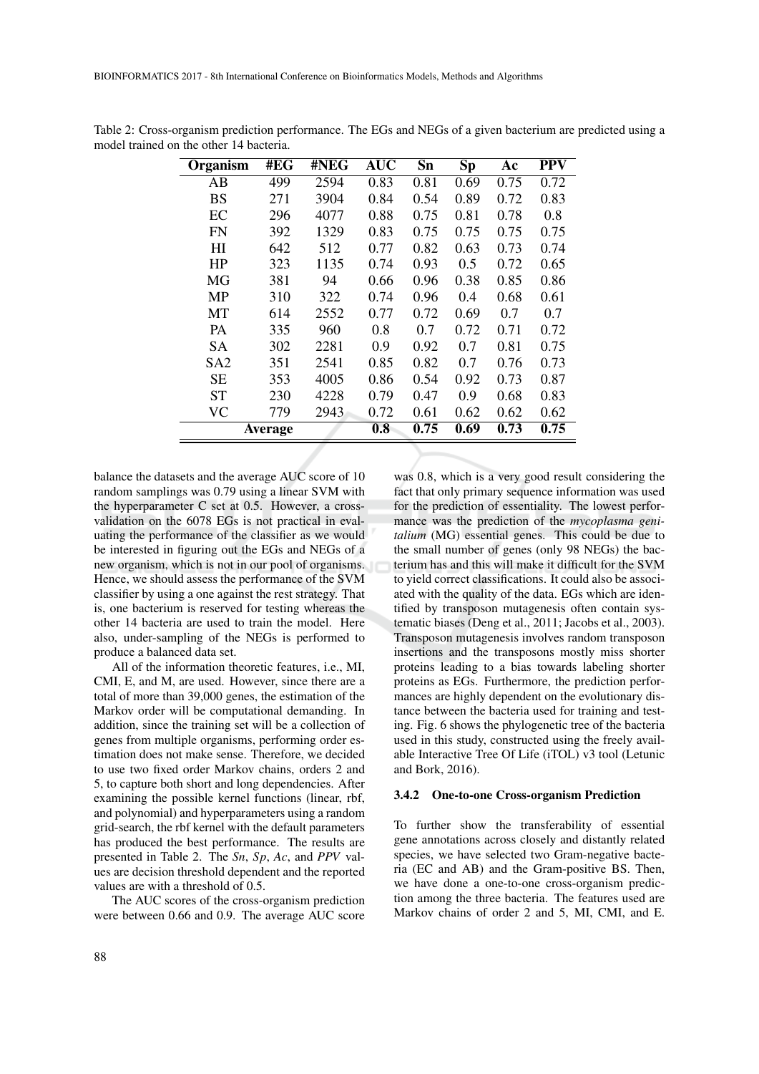| Organism        | #EG     | #NEG | <b>AUC</b> | Sn   | Sp   | Aс   | PPV  |
|-----------------|---------|------|------------|------|------|------|------|
| AB              | 499     | 2594 | 0.83       | 0.81 | 0.69 | 0.75 | 0.72 |
| <b>BS</b>       | 271     | 3904 | 0.84       | 0.54 | 0.89 | 0.72 | 0.83 |
| EC              | 296     | 4077 | 0.88       | 0.75 | 0.81 | 0.78 | 0.8  |
| <b>FN</b>       | 392     | 1329 | 0.83       | 0.75 | 0.75 | 0.75 | 0.75 |
| HI              | 642     | 512  | 0.77       | 0.82 | 0.63 | 0.73 | 0.74 |
| HP              | 323     | 1135 | 0.74       | 0.93 | 0.5  | 0.72 | 0.65 |
| MG              | 381     | 94   | 0.66       | 0.96 | 0.38 | 0.85 | 0.86 |
| MP              | 310     | 322  | 0.74       | 0.96 | 0.4  | 0.68 | 0.61 |
| МT              | 614     | 2552 | 0.77       | 0.72 | 0.69 | 0.7  | 0.7  |
| PA              | 335     | 960  | 0.8        | 0.7  | 0.72 | 0.71 | 0.72 |
| <b>SA</b>       | 302     | 2281 | 0.9        | 0.92 | 0.7  | 0.81 | 0.75 |
| SA <sub>2</sub> | 351     | 2541 | 0.85       | 0.82 | 0.7  | 0.76 | 0.73 |
| <b>SE</b>       | 353     | 4005 | 0.86       | 0.54 | 0.92 | 0.73 | 0.87 |
| <b>ST</b>       | 230     | 4228 | 0.79       | 0.47 | 0.9  | 0.68 | 0.83 |
| <b>VC</b>       | 779     | 2943 | 0.72       | 0.61 | 0.62 | 0.62 | 0.62 |
|                 | Average |      | 0.8        | 0.75 | 0.69 | 0.73 | 0.75 |

Table 2: Cross-organism prediction performance. The EGs and NEGs of a given bacterium are predicted using a model trained on the other 14 bacteria.

balance the datasets and the average AUC score of 10 random samplings was 0.79 using a linear SVM with the hyperparameter C set at 0.5. However, a crossvalidation on the 6078 EGs is not practical in evaluating the performance of the classifier as we would be interested in figuring out the EGs and NEGs of a new organism, which is not in our pool of organisms. Hence, we should assess the performance of the SVM classifier by using a one against the rest strategy. That is, one bacterium is reserved for testing whereas the other 14 bacteria are used to train the model. Here also, under-sampling of the NEGs is performed to produce a balanced data set.

All of the information theoretic features, i.e., MI, CMI, E, and M, are used. However, since there are a total of more than 39,000 genes, the estimation of the Markov order will be computational demanding. In addition, since the training set will be a collection of genes from multiple organisms, performing order estimation does not make sense. Therefore, we decided to use two fixed order Markov chains, orders 2 and 5, to capture both short and long dependencies. After examining the possible kernel functions (linear, rbf, and polynomial) and hyperparameters using a random grid-search, the rbf kernel with the default parameters has produced the best performance. The results are presented in Table 2. The *Sn*, *Sp*, *Ac*, and *PPV* values are decision threshold dependent and the reported values are with a threshold of 0.5.

The AUC scores of the cross-organism prediction were between 0.66 and 0.9. The average AUC score

was 0.8, which is a very good result considering the fact that only primary sequence information was used for the prediction of essentiality. The lowest performance was the prediction of the *mycoplasma genitalium* (MG) essential genes. This could be due to the small number of genes (only 98 NEGs) the bacterium has and this will make it difficult for the SVM to yield correct classifications. It could also be associated with the quality of the data. EGs which are identified by transposon mutagenesis often contain systematic biases (Deng et al., 2011; Jacobs et al., 2003). Transposon mutagenesis involves random transposon insertions and the transposons mostly miss shorter proteins leading to a bias towards labeling shorter proteins as EGs. Furthermore, the prediction performances are highly dependent on the evolutionary distance between the bacteria used for training and testing. Fig. 6 shows the phylogenetic tree of the bacteria used in this study, constructed using the freely available Interactive Tree Of Life (iTOL) v3 tool (Letunic and Bork, 2016).

#### 3.4.2 One-to-one Cross-organism Prediction

To further show the transferability of essential gene annotations across closely and distantly related species, we have selected two Gram-negative bacteria (EC and AB) and the Gram-positive BS. Then, we have done a one-to-one cross-organism prediction among the three bacteria. The features used are Markov chains of order 2 and 5, MI, CMI, and E.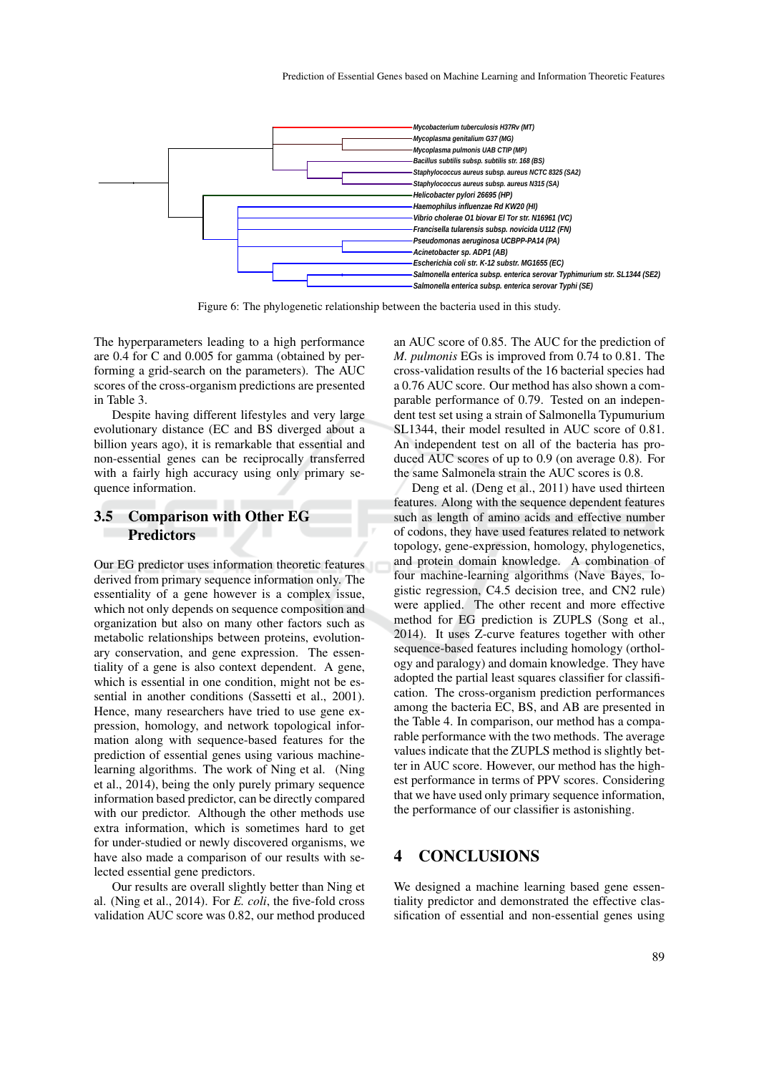

Figure 6: The phylogenetic relationship between the bacteria used in this study.

The hyperparameters leading to a high performance are 0.4 for C and 0.005 for gamma (obtained by performing a grid-search on the parameters). The AUC scores of the cross-organism predictions are presented in Table 3.

Despite having different lifestyles and very large evolutionary distance (EC and BS diverged about a billion years ago), it is remarkable that essential and non-essential genes can be reciprocally transferred with a fairly high accuracy using only primary sequence information.

### 3.5 Comparison with Other EG **Predictors**

Our EG predictor uses information theoretic features derived from primary sequence information only. The essentiality of a gene however is a complex issue, which not only depends on sequence composition and organization but also on many other factors such as metabolic relationships between proteins, evolutionary conservation, and gene expression. The essentiality of a gene is also context dependent. A gene, which is essential in one condition, might not be essential in another conditions (Sassetti et al., 2001). Hence, many researchers have tried to use gene expression, homology, and network topological information along with sequence-based features for the prediction of essential genes using various machinelearning algorithms. The work of Ning et al. (Ning et al., 2014), being the only purely primary sequence information based predictor, can be directly compared with our predictor. Although the other methods use extra information, which is sometimes hard to get for under-studied or newly discovered organisms, we have also made a comparison of our results with selected essential gene predictors.

Our results are overall slightly better than Ning et al. (Ning et al., 2014). For *E. coli*, the five-fold cross validation AUC score was 0.82, our method produced

an AUC score of 0.85. The AUC for the prediction of *M. pulmonis* EGs is improved from 0.74 to 0.81. The cross-validation results of the 16 bacterial species had a 0.76 AUC score. Our method has also shown a comparable performance of 0.79. Tested on an independent test set using a strain of Salmonella Typumurium SL1344, their model resulted in AUC score of 0.81. An independent test on all of the bacteria has produced AUC scores of up to 0.9 (on average 0.8). For the same Salmonela strain the AUC scores is 0.8.

Deng et al. (Deng et al., 2011) have used thirteen features. Along with the sequence dependent features such as length of amino acids and effective number of codons, they have used features related to network topology, gene-expression, homology, phylogenetics, and protein domain knowledge. A combination of four machine-learning algorithms (Nave Bayes, logistic regression, C4.5 decision tree, and CN2 rule) were applied. The other recent and more effective method for EG prediction is ZUPLS (Song et al., 2014). It uses Z-curve features together with other sequence-based features including homology (orthology and paralogy) and domain knowledge. They have adopted the partial least squares classifier for classification. The cross-organism prediction performances among the bacteria EC, BS, and AB are presented in the Table 4. In comparison, our method has a comparable performance with the two methods. The average values indicate that the ZUPLS method is slightly better in AUC score. However, our method has the highest performance in terms of PPV scores. Considering that we have used only primary sequence information, the performance of our classifier is astonishing.

### 4 CONCLUSIONS

We designed a machine learning based gene essentiality predictor and demonstrated the effective classification of essential and non-essential genes using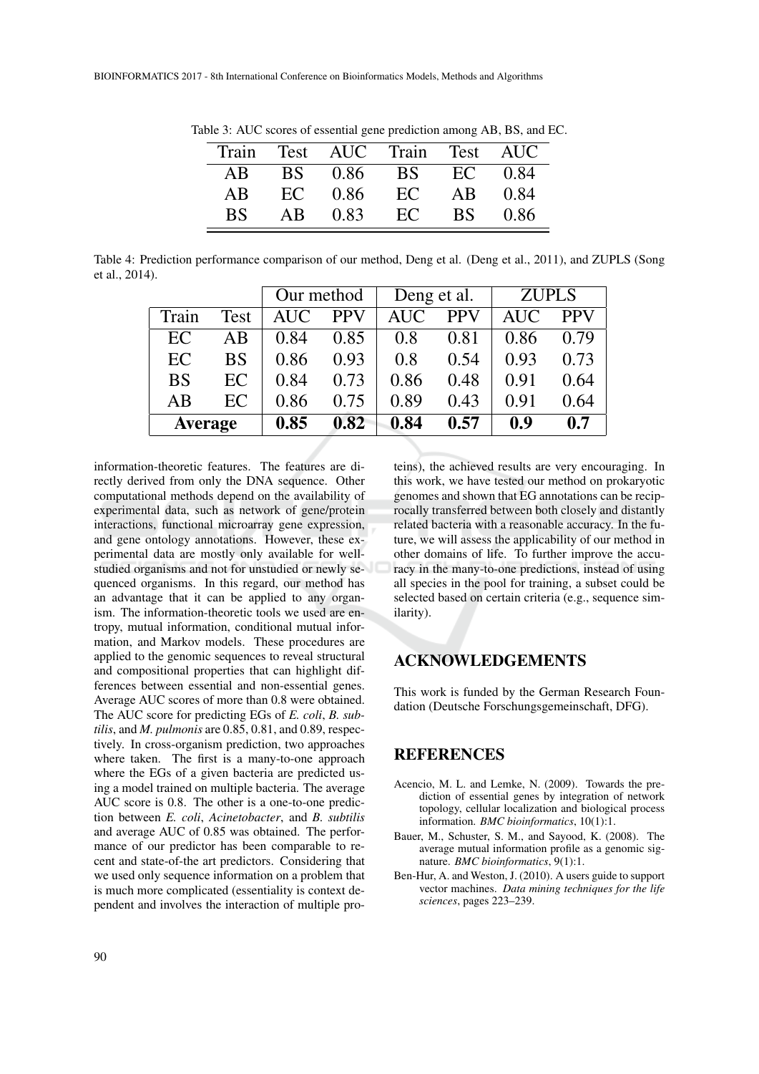| Train |    |             | Test AUC Train Test AUC |      |             |  |
|-------|----|-------------|-------------------------|------|-------------|--|
| AB    |    | BS 0.86     | $\overline{\text{BS}}$  |      | $EC = 0.84$ |  |
| AB    |    | $EC = 0.86$ | EC                      | AB   | 0.84        |  |
| BS.   | AB | 0.83        | EC                      | BS - | 0.86        |  |

Table 3: AUC scores of essential gene prediction among AB, BS, and EC.

Table 4: Prediction performance comparison of our method, Deng et al. (Deng et al., 2011), and ZUPLS (Song et al., 2014).

|                |      | Our method |            | Deng et al. |            | <b>ZUPLS</b> |            |
|----------------|------|------------|------------|-------------|------------|--------------|------------|
| Train          | Test | <b>AUC</b> | <b>PPV</b> | <b>AUC</b>  | <b>PPV</b> | <b>AUC</b>   | <b>PPV</b> |
| EC             | AВ   | 0.84       | 0.85       | 0.8         | 0.81       | 0.86         | 0.79       |
| EC             | BS   | 0.86       | 0.93       | 0.8         | 0.54       | 0.93         | 0.73       |
| <b>BS</b>      | EC   | 0.84       | 0.73       | 0.86        | 0.48       | 0.91         | 0.64       |
| AB             | EC   | 0.86       | 0.75       | 0.89        | 0.43       | 0.91         | 0.64       |
| <b>Average</b> |      | 0.85       | 0.82       | 0.84        | 0.57       | 0.9          | 0.7        |

information-theoretic features. The features are directly derived from only the DNA sequence. Other computational methods depend on the availability of experimental data, such as network of gene/protein interactions, functional microarray gene expression, and gene ontology annotations. However, these experimental data are mostly only available for wellstudied organisms and not for unstudied or newly sequenced organisms. In this regard, our method has an advantage that it can be applied to any organism. The information-theoretic tools we used are entropy, mutual information, conditional mutual information, and Markov models. These procedures are applied to the genomic sequences to reveal structural and compositional properties that can highlight differences between essential and non-essential genes. Average AUC scores of more than 0.8 were obtained. The AUC score for predicting EGs of *E. coli*, *B. subtilis*, and *M. pulmonis* are 0.85, 0.81, and 0.89, respectively. In cross-organism prediction, two approaches where taken. The first is a many-to-one approach where the EGs of a given bacteria are predicted using a model trained on multiple bacteria. The average AUC score is 0.8. The other is a one-to-one prediction between *E. coli*, *Acinetobacter*, and *B. subtilis* and average AUC of 0.85 was obtained. The performance of our predictor has been comparable to recent and state-of-the art predictors. Considering that we used only sequence information on a problem that is much more complicated (essentiality is context dependent and involves the interaction of multiple proteins), the achieved results are very encouraging. In this work, we have tested our method on prokaryotic genomes and shown that EG annotations can be reciprocally transferred between both closely and distantly related bacteria with a reasonable accuracy. In the future, we will assess the applicability of our method in other domains of life. To further improve the accuracy in the many-to-one predictions, instead of using all species in the pool for training, a subset could be selected based on certain criteria (e.g., sequence similarity).

# ACKNOWLEDGEMENTS

This work is funded by the German Research Foundation (Deutsche Forschungsgemeinschaft, DFG).

### REFERENCES

- Acencio, M. L. and Lemke, N. (2009). Towards the prediction of essential genes by integration of network topology, cellular localization and biological process information. *BMC bioinformatics*, 10(1):1.
- Bauer, M., Schuster, S. M., and Sayood, K. (2008). The average mutual information profile as a genomic signature. *BMC bioinformatics*, 9(1):1.
- Ben-Hur, A. and Weston, J. (2010). A users guide to support vector machines. *Data mining techniques for the life sciences*, pages 223–239.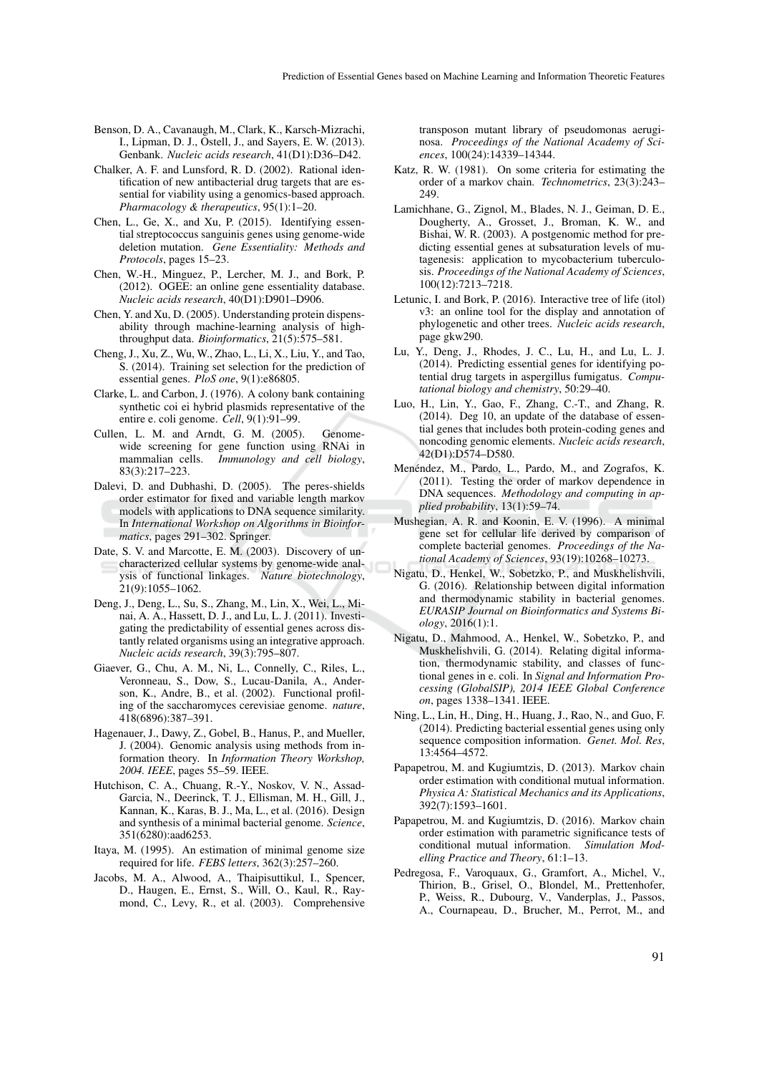- Benson, D. A., Cavanaugh, M., Clark, K., Karsch-Mizrachi, I., Lipman, D. J., Ostell, J., and Sayers, E. W. (2013). Genbank. *Nucleic acids research*, 41(D1):D36–D42.
- Chalker, A. F. and Lunsford, R. D. (2002). Rational identification of new antibacterial drug targets that are essential for viability using a genomics-based approach. *Pharmacology & therapeutics*, 95(1):1–20.
- Chen, L., Ge, X., and Xu, P. (2015). Identifying essential streptococcus sanguinis genes using genome-wide deletion mutation. *Gene Essentiality: Methods and Protocols*, pages 15–23.
- Chen, W.-H., Minguez, P., Lercher, M. J., and Bork, P. (2012). OGEE: an online gene essentiality database. *Nucleic acids research*, 40(D1):D901–D906.
- Chen, Y. and Xu, D. (2005). Understanding protein dispensability through machine-learning analysis of highthroughput data. *Bioinformatics*, 21(5):575–581.
- Cheng, J., Xu, Z., Wu, W., Zhao, L., Li, X., Liu, Y., and Tao, S. (2014). Training set selection for the prediction of essential genes. *PloS one*, 9(1):e86805.
- Clarke, L. and Carbon, J. (1976). A colony bank containing synthetic coi ei hybrid plasmids representative of the entire e. coli genome. *Cell*, 9(1):91–99.
- Cullen, L. M. and Arndt, G. M. (2005). Genomewide screening for gene function using RNAi in mammalian cells. *Immunology and cell biology*, 83(3):217–223.
- Dalevi, D. and Dubhashi, D. (2005). The peres-shields order estimator for fixed and variable length markov models with applications to DNA sequence similarity. In *International Workshop on Algorithms in Bioinformatics*, pages 291–302. Springer.
- Date, S. V. and Marcotte, E. M. (2003). Discovery of uncharacterized cellular systems by genome-wide analysis of functional linkages. *Nature biotechnology*, 21(9):1055–1062.
- Deng, J., Deng, L., Su, S., Zhang, M., Lin, X., Wei, L., Minai, A. A., Hassett, D. J., and Lu, L. J. (2011). Investigating the predictability of essential genes across distantly related organisms using an integrative approach. *Nucleic acids research*, 39(3):795–807.
- Giaever, G., Chu, A. M., Ni, L., Connelly, C., Riles, L., Veronneau, S., Dow, S., Lucau-Danila, A., Anderson, K., Andre, B., et al. (2002). Functional profiling of the saccharomyces cerevisiae genome. *nature*, 418(6896):387–391.
- Hagenauer, J., Dawy, Z., Gobel, B., Hanus, P., and Mueller, J. (2004). Genomic analysis using methods from information theory. In *Information Theory Workshop, 2004. IEEE*, pages 55–59. IEEE.
- Hutchison, C. A., Chuang, R.-Y., Noskov, V. N., Assad-Garcia, N., Deerinck, T. J., Ellisman, M. H., Gill, J., Kannan, K., Karas, B. J., Ma, L., et al. (2016). Design and synthesis of a minimal bacterial genome. *Science*, 351(6280):aad6253.
- Itaya, M. (1995). An estimation of minimal genome size required for life. *FEBS letters*, 362(3):257–260.
- Jacobs, M. A., Alwood, A., Thaipisuttikul, I., Spencer, D., Haugen, E., Ernst, S., Will, O., Kaul, R., Raymond, C., Levy, R., et al. (2003). Comprehensive

transposon mutant library of pseudomonas aeruginosa. *Proceedings of the National Academy of Sciences*, 100(24):14339–14344.

- Katz, R. W. (1981). On some criteria for estimating the order of a markov chain. *Technometrics*, 23(3):243– 249
- Lamichhane, G., Zignol, M., Blades, N. J., Geiman, D. E., Dougherty, A., Grosset, J., Broman, K. W., and Bishai, W. R. (2003). A postgenomic method for predicting essential genes at subsaturation levels of mutagenesis: application to mycobacterium tuberculosis. *Proceedings of the National Academy of Sciences*, 100(12):7213–7218.
- Letunic, I. and Bork, P. (2016). Interactive tree of life (itol) v3: an online tool for the display and annotation of phylogenetic and other trees. *Nucleic acids research*, page gkw290.
- Lu, Y., Deng, J., Rhodes, J. C., Lu, H., and Lu, L. J. (2014). Predicting essential genes for identifying potential drug targets in aspergillus fumigatus. *Computational biology and chemistry*, 50:29–40.
- Luo, H., Lin, Y., Gao, F., Zhang, C.-T., and Zhang, R. (2014). Deg 10, an update of the database of essential genes that includes both protein-coding genes and noncoding genomic elements. *Nucleic acids research*, 42(D1):D574–D580.
- Menéndez, M., Pardo, L., Pardo, M., and Zografos, K. (2011). Testing the order of markov dependence in DNA sequences. *Methodology and computing in applied probability*, 13(1):59–74.
- Mushegian, A. R. and Koonin, E. V. (1996). A minimal gene set for cellular life derived by comparison of complete bacterial genomes. *Proceedings of the National Academy of Sciences*, 93(19):10268–10273.
- Nigatu, D., Henkel, W., Sobetzko, P., and Muskhelishvili, G. (2016). Relationship between digital information and thermodynamic stability in bacterial genomes. *EURASIP Journal on Bioinformatics and Systems Biology*, 2016(1):1.
- Nigatu, D., Mahmood, A., Henkel, W., Sobetzko, P., and Muskhelishvili, G. (2014). Relating digital information, thermodynamic stability, and classes of functional genes in e. coli. In *Signal and Information Processing (GlobalSIP), 2014 IEEE Global Conference on*, pages 1338–1341. IEEE.
- Ning, L., Lin, H., Ding, H., Huang, J., Rao, N., and Guo, F. (2014). Predicting bacterial essential genes using only sequence composition information. *Genet. Mol. Res*, 13:4564–4572.
- Papapetrou, M. and Kugiumtzis, D. (2013). Markov chain order estimation with conditional mutual information. *Physica A: Statistical Mechanics and its Applications*, 392(7):1593–1601.
- Papapetrou, M. and Kugiumtzis, D. (2016). Markov chain order estimation with parametric significance tests of conditional mutual information. *Simulation Modelling Practice and Theory*, 61:1–13.
- Pedregosa, F., Varoquaux, G., Gramfort, A., Michel, V., Thirion, B., Grisel, O., Blondel, M., Prettenhofer, P., Weiss, R., Dubourg, V., Vanderplas, J., Passos, A., Cournapeau, D., Brucher, M., Perrot, M., and